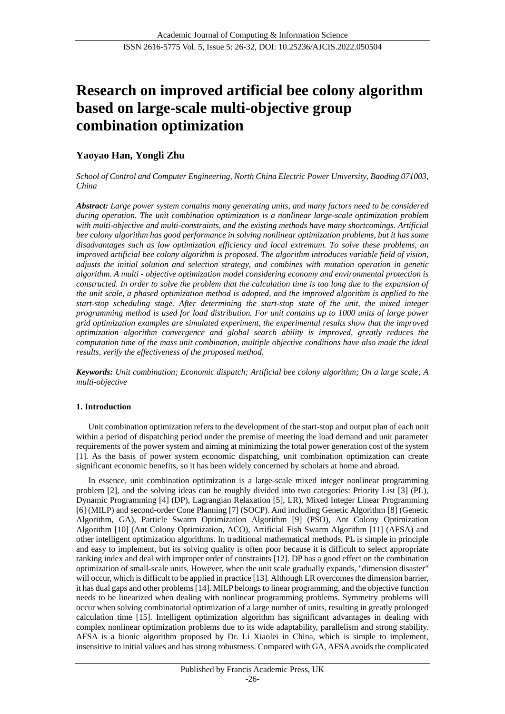# **Research on improved artificial bee colony algorithm based on large-scale multi-objective group combination optimization**

# **Yaoyao Han, Yongli Zhu**

*School of Control and Computer Engineering, North China Electric Power University, Baoding 071003, China*

*Abstract: Large power system contains many generating units, and many factors need to be considered during operation. The unit combination optimization is a nonlinear large-scale optimization problem with multi-objective and multi-constraints, and the existing methods have many shortcomings. Artificial bee colony algorithm has good performance in solving nonlinear optimization problems, but it has some disadvantages such as low optimization efficiency and local extremum. To solve these problems, an improved artificial bee colony algorithm is proposed. The algorithm introduces variable field of vision, adjusts the initial solution and selection strategy, and combines with mutation operation in genetic algorithm. A multi - objective optimization model considering economy and environmental protection is constructed. In order to solve the problem that the calculation time is too long due to the expansion of the unit scale, a phased optimization method is adopted, and the improved algorithm is applied to the start-stop scheduling stage. After determining the start-stop state of the unit, the mixed integer programming method is used for load distribution. For unit contains up to 1000 units of large power grid optimization examples are simulated experiment, the experimental results show that the improved optimization algorithm convergence and global search ability is improved, greatly reduces the computation time of the mass unit combination, multiple objective conditions have also made the ideal results, verify the effectiveness of the proposed method.*

*Keywords: Unit combination; Economic dispatch; Artificial bee colony algorithm; On a large scale; A multi-objective*

# **1. Introduction**

Unit combination optimization refers to the development of the start-stop and output plan of each unit within a period of dispatching period under the premise of meeting the load demand and unit parameter requirements of the power system and aiming at minimizing the total power generation cost of the system [1]. As the basis of power system economic dispatching, unit combination optimization can create significant economic benefits, so it has been widely concerned by scholars at home and abroad.

In essence, unit combination optimization is a large-scale mixed integer nonlinear programming problem [2], and the solving ideas can be roughly divided into two categories: Priority List [3] (PL), Dynamic Programming [4] (DP), Lagrangian Relaxation [5], LR), Mixed Integer Linear Programming [6] (MILP) and second-order Cone Planning [7] (SOCP). And including Genetic Algorithm [8] (Genetic Algorithm, GA), Particle Swarm Optimization Algorithm [9] (PSO), Ant Colony Optimization Algorithm [10] (Ant Colony Optimization, ACO), Artificial Fish Swarm Algorithm [11] (AFSA) and other intelligent optimization algorithms. In traditional mathematical methods, PL is simple in principle and easy to implement, but its solving quality is often poor because it is difficult to select appropriate ranking index and deal with improper order of constraints [12]. DP has a good effect on the combination optimization of small-scale units. However, when the unit scale gradually expands, "dimension disaster" will occur, which is difficult to be applied in practice [13]. Although LR overcomes the dimension barrier, it has dual gaps and other problems [14]. MILP belongs to linear programming, and the objective function needs to be linearized when dealing with nonlinear programming problems. Symmetry problems will occur when solving combinatorial optimization of a large number of units, resulting in greatly prolonged calculation time [15]. Intelligent optimization algorithm has significant advantages in dealing with complex nonlinear optimization problems due to its wide adaptability, parallelism and strong stability. AFSA is a bionic algorithm proposed by Dr. Li Xiaolei in China, which is simple to implement, insensitive to initial values and has strong robustness. Compared with GA, AFSA avoids the complicated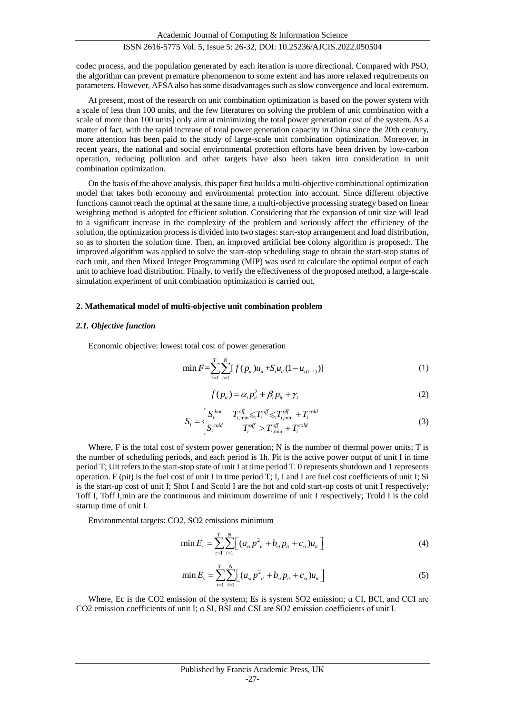codec process, and the population generated by each iteration is more directional. Compared with PSO, the algorithm can prevent premature phenomenon to some extent and has more relaxed requirements on parameters. However, AFSA also has some disadvantages such as slow convergence and local extremum.

At present, most of the research on unit combination optimization is based on the power system with a scale of less than 100 units, and the few literatures on solving the problem of unit combination with a scale of more than 100 units] only aim at minimizing the total power generation cost of the system. As a matter of fact, with the rapid increase of total power generation capacity in China since the 20th century, more attention has been paid to the study of large-scale unit combination optimization. Moreover, in recent years, the national and social environmental protection efforts have been driven by low-carbon operation, reducing pollution and other targets have also been taken into consideration in unit combination optimization.

On the basis of the above analysis, this paper first builds a multi-objective combinational optimization model that takes both economy and environmental protection into account. Since different objective functions cannot reach the optimal at the same time, a multi-objective processing strategy based on linear weighting method is adopted for efficient solution. Considering that the expansion of unit size will lead to a significant increase in the complexity of the problem and seriously affect the efficiency of the solution, the optimization process is divided into two stages: start-stop arrangement and load distribution, so as to shorten the solution time. Then, an improved artificial bee colony algorithm is proposed:. The improved algorithm was applied to solve the start-stop scheduling stage to obtain the start-stop status of each unit, and then Mixed Integer Programming (MIP) was used to calculate the optimal output of each unit to achieve load distribution. Finally, to verify the effectiveness of the proposed method, a large-scale simulation experiment of unit combination optimization is carried out.

#### **2. Mathematical model of multi-objective unit combination problem**

#### *2.1. Objective function*

Economic objective: lowest total cost of power generation

$$
\min F = \sum_{t=1}^{T} \sum_{i=1}^{N} [f(p_{it})u_{it} + S_i u_{it} (1 - u_{i(t-1)})]
$$
\n(1)

$$
f(p_{ii}) = \alpha_i p_{ii}^2 + \beta_i p_{ii} + \gamma_i
$$
 (2)

$$
S_i = \begin{cases} S_i^{hot} & T_{i,\min}^{off} \le T_i^{off} \le T_{i,\min}^{off} + T_i^{cold} \\ S_i^{cold} & T_i^{off} > T_{i,\min}^{off} + T_i^{cold} \end{cases}
$$
(3)

Where, F is the total cost of system power generation; N is the number of thermal power units; T is the number of scheduling periods, and each period is 1h. Pit is the active power output of unit I in time period T; Uit refers to the start-stop state of unit I at time period T. 0 represents shutdown and 1 represents operation. F (pit) is the fuel cost of unit I in time period T; I, I and I are fuel cost coefficients of unit I; Si is the start-up cost of unit I; Shot I and Scold I are the hot and cold start-up costs of unit I respectively; Toff I, Toff I,min are the continuous and minimum downtime of unit I respectively; Tcold I is the cold startup time of unit I.

Environmental targets: CO2, SO2 emissions minimum

$$
\min E_c = \sum_{t=1}^{T} \sum_{i=1}^{N} \Big[ \big( a_{ci} p_{it}^2 + b_{ci} p_{it} + c_{ci} \big) u_{it} \Big] \tag{4}
$$

$$
\min E_s = \sum_{t=1}^{T} \sum_{i=1}^{N} \Big[ \big( a_{si} p_{it}^2 + b_{si} p_{it} + c_{si} \big) u_{it} \Big] \tag{5}
$$

Where, Ec is the CO2 emission of the system; Es is system SO2 emission; a CI, BCI, and CCI are CO2 emission coefficients of unit I; ɑ SI, BSI and CSI are SO2 emission coefficients of unit I.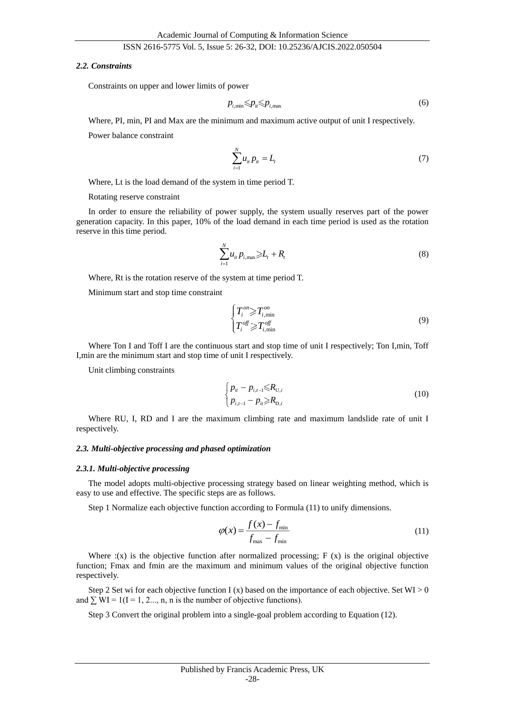#### *2.2. Constraints*

Constraints on upper and lower limits of power

$$
p_{i,\min} \leqslant p_i \leqslant p_{i,\max} \tag{6}
$$

Where, PI, min, PI and Max are the minimum and maximum active output of unit I respectively.

Power balance constraint

$$
\sum_{i=1}^{N} u_{it} p_{it} = L_t \tag{7}
$$

Where, Lt is the load demand of the system in time period T.

Rotating reserve constraint

In order to ensure the reliability of power supply, the system usually reserves part of the power generation capacity. In this paper, 10% of the load demand in each time period is used as the rotation reserve in this time period.

$$
\sum_{i=1}^{N} u_{it} p_{i, \max} \ge L_t + R_t \tag{8}
$$

Where, Rt is the rotation reserve of the system at time period T.

Minimum start and stop time constraint

$$
\begin{cases}\nT_i^{on} \ge T_{i,\min}^{on} \\
T_i^{off} \ge T_{i,\min}^{off}\n\end{cases}
$$
\n(9)

Where Ton I and Toff I are the continuous start and stop time of unit I respectively; Ton I,min, Toff I,min are the minimum start and stop time of unit I respectively.

Unit climbing constraints

$$
\begin{cases} p_{ii} - p_{i,t-1} \le R_{U,i} \\ p_{i,t-1} - p_{ii} \ge R_{D,i} \end{cases}
$$
 (10)

Where RU, I, RD and I are the maximum climbing rate and maximum landslide rate of unit I respectively.

#### *2.3. Multi-objective processing and phased optimization*

#### *2.3.1. Multi-objective processing*

The model adopts multi-objective processing strategy based on linear weighting method, which is easy to use and effective. The specific steps are as follows.

Step 1 Normalize each objective function according to Formula (11) to unify dimensions.

$$
\varphi(x) = \frac{f(x) - f_{\min}}{f_{\max} - f_{\min}}
$$
\n(11)

Where  $:(x)$  is the objective function after normalized processing;  $F(x)$  is the original objective function; Fmax and fmin are the maximum and minimum values of the original objective function respectively.

Step 2 Set wi for each objective function I (x) based on the importance of each objective. Set  $WI > 0$ and  $\sum$  WI = 1(I = 1, 2, m, n is the number of objective functions).

Step 3 Convert the original problem into a single-goal problem according to Equation (12).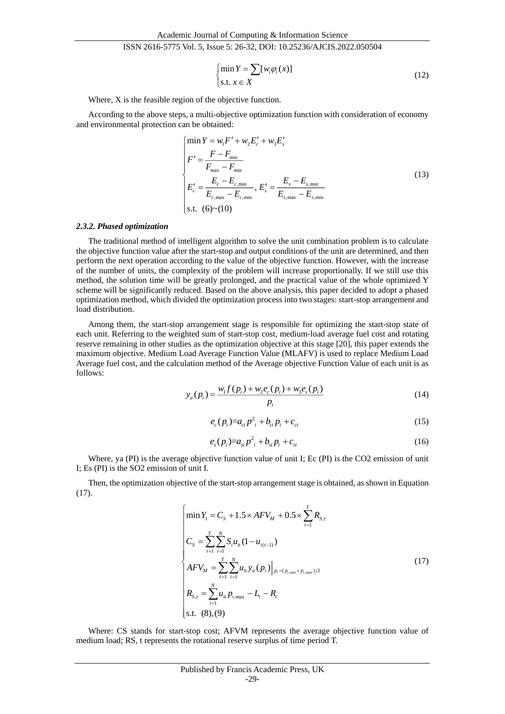$$
\begin{cases}\n\min Y = \sum [w_i \varphi_i(x)] \\
\text{s.t. } x \in X\n\end{cases}
$$
\n(12)

Where, X is the feasible region of the objective function.

According to the above steps, a multi-objective optimization function with consideration of economy and environmental protection can be obtained:

$$
\begin{cases}\n\min Y = w_1 F' + w_2 E_c' + w_3 E_s' \\
F' = \frac{F - F_{\text{min}}}{F_{\text{max}} - F_{\text{min}}} \\
E_c' = \frac{E_c - E_{c,\text{min}}}{E_{c,\text{max}} - E_{c,\text{min}}}, E_s' = \frac{E_s - E_{s,\text{min}}}{E_{s,\text{max}} - E_{s,\text{min}}} \\
\text{s.t.} \quad (6) \sim (10)\n\end{cases}
$$
\n(13)

# *2.3.2. Phased optimization*

The traditional method of intelligent algorithm to solve the unit combination problem is to calculate the objective function value after the start-stop and output conditions of the unit are determined, and then perform the next operation according to the value of the objective function. However, with the increase of the number of units, the complexity of the problem will increase proportionally. If we still use this method, the solution time will be greatly prolonged, and the practical value of the whole optimized Y scheme will be significantly reduced. Based on the above analysis, this paper decided to adopt a phased optimization method, which divided the optimization process into two stages: start-stop arrangement and load distribution.

Among them, the start-stop arrangement stage is responsible for optimizing the start-stop state of each unit. Referring to the weighted sum of start-stop cost, medium-load average fuel cost and rotating reserve remaining in other studies as the optimization objective at this stage [20], this paper extends the maximum objective. Medium Load Average Function Value (MLAFV) is used to replace Medium Load Average fuel cost, and the calculation method of the Average objective Function Value of each unit is as follows:

$$
y_a(p_i) = \frac{w_i f(p_i) + w_2 e_c(p_i) + w_3 e_s(p_i)}{p_i}
$$
(14)

$$
e_c(p_i) = a_{ci} p_i^2 + b_{ci} p_i + c_{ci}
$$
\n(15)

$$
e_s(p_i)=a_{si}p_i^2+b_{si}p_i+c_{si}
$$
 (16)

Where, ya (PI) is the average objective function value of unit I; Ec (PI) is the CO2 emission of unit I; Es (PI) is the SO2 emission of unit I.

Then, the optimization objective of the start-stop arrangement stage is obtained, as shown in Equation (17).

$$
\begin{cases}\n\min Y_1 = C_s + 1.5 \times AFV_M + 0.5 \times \sum_{t=1}^T R_{s,t} \\
C_s = \sum_{t=1}^T \sum_{i=1}^N S_i u_{it} (1 - u_{i(t-1)}) \\
AFV_M = \sum_{t=1}^T \sum_{i=1}^N u_{it} y_a (p_i) \Big|_{p_i = (p_{i,\min} + p_{i,\max})/2} \\
R_{s,t} = \sum_{i=1}^N u_{it} p_{i,\max} - L_t - R_t \\
\text{s.t. (8), (9)}\n\end{cases}
$$
\n(17)

Where: CS stands for start-stop cost; AFVM represents the average objective function value of medium load; RS, t represents the rotational reserve surplus of time period T.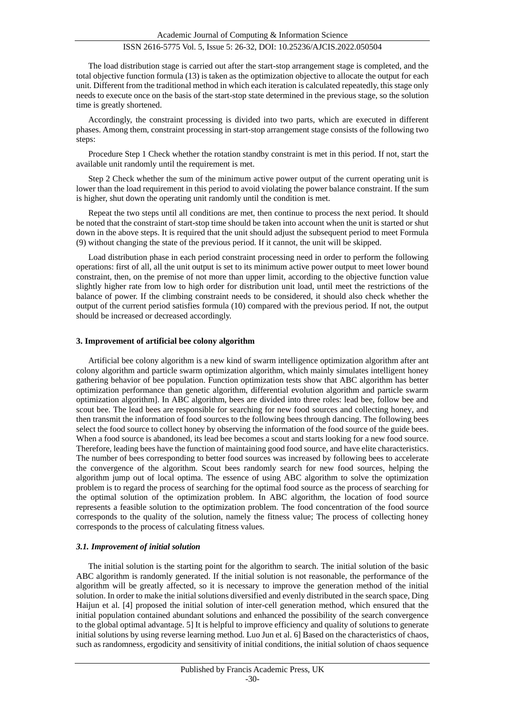The load distribution stage is carried out after the start-stop arrangement stage is completed, and the total objective function formula (13) is taken as the optimization objective to allocate the output for each unit. Different from the traditional method in which each iteration is calculated repeatedly, this stage only needs to execute once on the basis of the start-stop state determined in the previous stage, so the solution time is greatly shortened.

Accordingly, the constraint processing is divided into two parts, which are executed in different phases. Among them, constraint processing in start-stop arrangement stage consists of the following two steps:

Procedure Step 1 Check whether the rotation standby constraint is met in this period. If not, start the available unit randomly until the requirement is met.

Step 2 Check whether the sum of the minimum active power output of the current operating unit is lower than the load requirement in this period to avoid violating the power balance constraint. If the sum is higher, shut down the operating unit randomly until the condition is met.

Repeat the two steps until all conditions are met, then continue to process the next period. It should be noted that the constraint of start-stop time should be taken into account when the unit is started or shut down in the above steps. It is required that the unit should adjust the subsequent period to meet Formula (9) without changing the state of the previous period. If it cannot, the unit will be skipped.

Load distribution phase in each period constraint processing need in order to perform the following operations: first of all, all the unit output is set to its minimum active power output to meet lower bound constraint, then, on the premise of not more than upper limit, according to the objective function value slightly higher rate from low to high order for distribution unit load, until meet the restrictions of the balance of power. If the climbing constraint needs to be considered, it should also check whether the output of the current period satisfies formula (10) compared with the previous period. If not, the output should be increased or decreased accordingly.

# **3. Improvement of artificial bee colony algorithm**

Artificial bee colony algorithm is a new kind of swarm intelligence optimization algorithm after ant colony algorithm and particle swarm optimization algorithm, which mainly simulates intelligent honey gathering behavior of bee population. Function optimization tests show that ABC algorithm has better optimization performance than genetic algorithm, differential evolution algorithm and particle swarm optimization algorithm]. In ABC algorithm, bees are divided into three roles: lead bee, follow bee and scout bee. The lead bees are responsible for searching for new food sources and collecting honey, and then transmit the information of food sources to the following bees through dancing. The following bees select the food source to collect honey by observing the information of the food source of the guide bees. When a food source is abandoned, its lead bee becomes a scout and starts looking for a new food source. Therefore, leading bees have the function of maintaining good food source, and have elite characteristics. The number of bees corresponding to better food sources was increased by following bees to accelerate the convergence of the algorithm. Scout bees randomly search for new food sources, helping the algorithm jump out of local optima. The essence of using ABC algorithm to solve the optimization problem is to regard the process of searching for the optimal food source as the process of searching for the optimal solution of the optimization problem. In ABC algorithm, the location of food source represents a feasible solution to the optimization problem. The food concentration of the food source corresponds to the quality of the solution, namely the fitness value; The process of collecting honey corresponds to the process of calculating fitness values.

## *3.1. Improvement of initial solution*

The initial solution is the starting point for the algorithm to search. The initial solution of the basic ABC algorithm is randomly generated. If the initial solution is not reasonable, the performance of the algorithm will be greatly affected, so it is necessary to improve the generation method of the initial solution. In order to make the initial solutions diversified and evenly distributed in the search space, Ding Haijun et al. [4] proposed the initial solution of inter-cell generation method, which ensured that the initial population contained abundant solutions and enhanced the possibility of the search convergence to the global optimal advantage. 5] It is helpful to improve efficiency and quality of solutions to generate initial solutions by using reverse learning method. Luo Jun et al. 6] Based on the characteristics of chaos, such as randomness, ergodicity and sensitivity of initial conditions, the initial solution of chaos sequence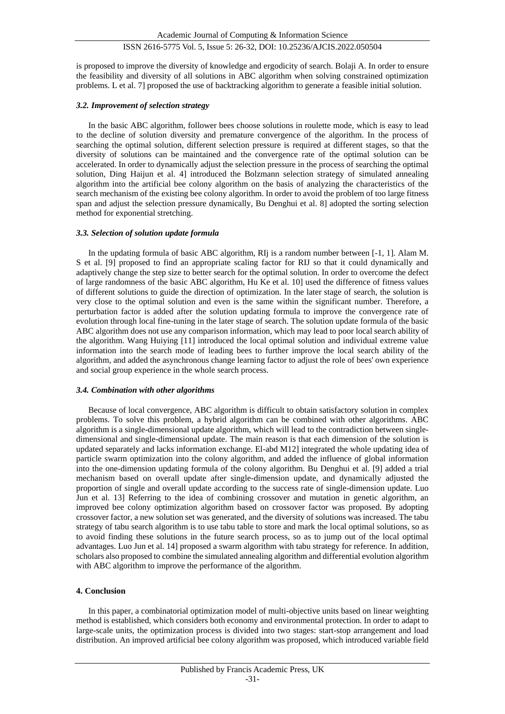is proposed to improve the diversity of knowledge and ergodicity of search. Bolaji A. In order to ensure the feasibility and diversity of all solutions in ABC algorithm when solving constrained optimization problems. L et al. 7] proposed the use of backtracking algorithm to generate a feasible initial solution.

# *3.2. Improvement of selection strategy*

In the basic ABC algorithm, follower bees choose solutions in roulette mode, which is easy to lead to the decline of solution diversity and premature convergence of the algorithm. In the process of searching the optimal solution, different selection pressure is required at different stages, so that the diversity of solutions can be maintained and the convergence rate of the optimal solution can be accelerated. In order to dynamically adjust the selection pressure in the process of searching the optimal solution, Ding Haijun et al. 4] introduced the Bolzmann selection strategy of simulated annealing algorithm into the artificial bee colony algorithm on the basis of analyzing the characteristics of the search mechanism of the existing bee colony algorithm. In order to avoid the problem of too large fitness span and adjust the selection pressure dynamically, Bu Denghui et al. 8] adopted the sorting selection method for exponential stretching.

## *3.3. Selection of solution update formula*

In the updating formula of basic ABC algorithm, RIj is a random number between [-1, 1]. Alam M. S et al. [9] proposed to find an appropriate scaling factor for RIJ so that it could dynamically and adaptively change the step size to better search for the optimal solution. In order to overcome the defect of large randomness of the basic ABC algorithm, Hu Ke et al. 10] used the difference of fitness values of different solutions to guide the direction of optimization. In the later stage of search, the solution is very close to the optimal solution and even is the same within the significant number. Therefore, a perturbation factor is added after the solution updating formula to improve the convergence rate of evolution through local fine-tuning in the later stage of search. The solution update formula of the basic ABC algorithm does not use any comparison information, which may lead to poor local search ability of the algorithm. Wang Huiying [11] introduced the local optimal solution and individual extreme value information into the search mode of leading bees to further improve the local search ability of the algorithm, and added the asynchronous change learning factor to adjust the role of bees' own experience and social group experience in the whole search process.

## *3.4. Combination with other algorithms*

Because of local convergence, ABC algorithm is difficult to obtain satisfactory solution in complex problems. To solve this problem, a hybrid algorithm can be combined with other algorithms. ABC algorithm is a single-dimensional update algorithm, which will lead to the contradiction between singledimensional and single-dimensional update. The main reason is that each dimension of the solution is updated separately and lacks information exchange. El-abd M12] integrated the whole updating idea of particle swarm optimization into the colony algorithm, and added the influence of global information into the one-dimension updating formula of the colony algorithm. Bu Denghui et al. [9] added a trial mechanism based on overall update after single-dimension update, and dynamically adjusted the proportion of single and overall update according to the success rate of single-dimension update. Luo Jun et al. 13] Referring to the idea of combining crossover and mutation in genetic algorithm, an improved bee colony optimization algorithm based on crossover factor was proposed. By adopting crossover factor, a new solution set was generated, and the diversity of solutions was increased. The tabu strategy of tabu search algorithm is to use tabu table to store and mark the local optimal solutions, so as to avoid finding these solutions in the future search process, so as to jump out of the local optimal advantages. Luo Jun et al. 14] proposed a swarm algorithm with tabu strategy for reference. In addition, scholars also proposed to combine the simulated annealing algorithm and differential evolution algorithm with ABC algorithm to improve the performance of the algorithm.

# **4. Conclusion**

In this paper, a combinatorial optimization model of multi-objective units based on linear weighting method is established, which considers both economy and environmental protection. In order to adapt to large-scale units, the optimization process is divided into two stages: start-stop arrangement and load distribution. An improved artificial bee colony algorithm was proposed, which introduced variable field